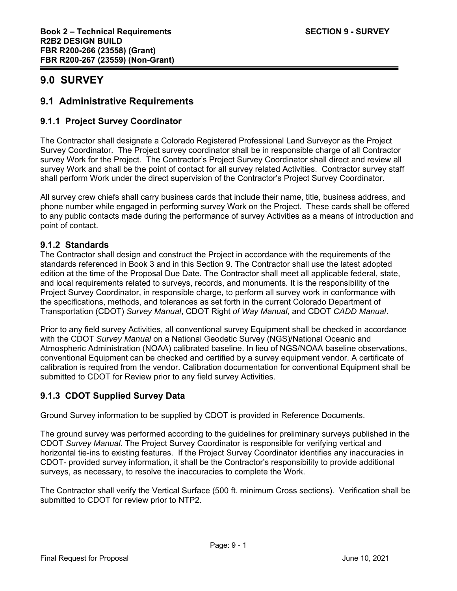# **9.0 SURVEY**

# **9.1 Administrative Requirements**

# **9.1.1 Project Survey Coordinator**

The Contractor shall designate a Colorado Registered Professional Land Surveyor as the Project Survey Coordinator. The Project survey coordinator shall be in responsible charge of all Contractor survey Work for the Project. The Contractor's Project Survey Coordinator shall direct and review all survey Work and shall be the point of contact for all survey related Activities. Contractor survey staff shall perform Work under the direct supervision of the Contractor's Project Survey Coordinator.

All survey crew chiefs shall carry business cards that include their name, title, business address, and phone number while engaged in performing survey Work on the Project. These cards shall be offered to any public contacts made during the performance of survey Activities as a means of introduction and point of contact.

# **9.1.2 Standards**

The Contractor shall design and construct the Project in accordance with the requirements of the standards referenced in Book 3 and in this Section 9. The Contractor shall use the latest adopted edition at the time of the Proposal Due Date. The Contractor shall meet all applicable federal, state, and local requirements related to surveys, records, and monuments. It is the responsibility of the Project Survey Coordinator, in responsible charge, to perform all survey work in conformance with the specifications, methods, and tolerances as set forth in the current Colorado Department of Transportation (CDOT) *Survey Manual*, CDOT Right *of Way Manual*, and CDOT *CADD Manual*.

Prior to any field survey Activities, all conventional survey Equipment shall be checked in accordance with the CDOT *Survey Manual* on a National Geodetic Survey (NGS)/National Oceanic and Atmospheric Administration (NOAA) calibrated baseline. In lieu of NGS/NOAA baseline observations, conventional Equipment can be checked and certified by a survey equipment vendor. A certificate of calibration is required from the vendor. Calibration documentation for conventional Equipment shall be submitted to CDOT for Review prior to any field survey Activities.

# **9.1.3 CDOT Supplied Survey Data**

Ground Survey information to be supplied by CDOT is provided in Reference Documents.

The ground survey was performed according to the guidelines for preliminary surveys published in the CDOT *Survey Manual*. The Project Survey Coordinator is responsible for verifying vertical and horizontal tie-ins to existing features. If the Project Survey Coordinator identifies any inaccuracies in CDOT- provided survey information, it shall be the Contractor's responsibility to provide additional surveys, as necessary, to resolve the inaccuracies to complete the Work.

The Contractor shall verify the Vertical Surface (500 ft. minimum Cross sections). Verification shall be submitted to CDOT for review prior to NTP2.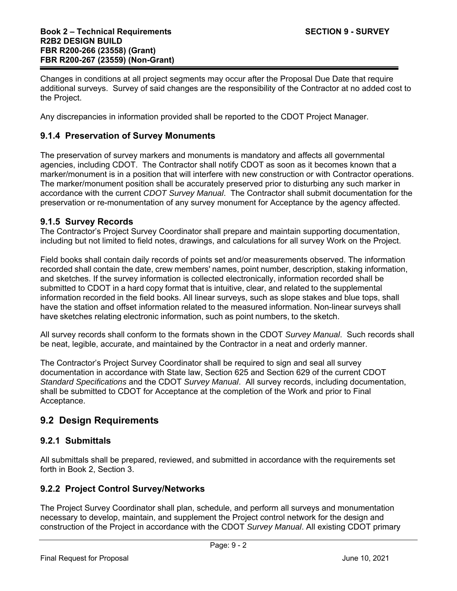Changes in conditions at all project segments may occur after the Proposal Due Date that require additional surveys. Survey of said changes are the responsibility of the Contractor at no added cost to the Project.

Any discrepancies in information provided shall be reported to the CDOT Project Manager.

### **9.1.4 Preservation of Survey Monuments**

The preservation of survey markers and monuments is mandatory and affects all governmental agencies, including CDOT. The Contractor shall notify CDOT as soon as it becomes known that a marker/monument is in a position that will interfere with new construction or with Contractor operations. The marker/monument position shall be accurately preserved prior to disturbing any such marker in accordance with the current *CDOT Survey Manual*. The Contractor shall submit documentation for the preservation or re-monumentation of any survey monument for Acceptance by the agency affected.

#### **9.1.5 Survey Records**

The Contractor's Project Survey Coordinator shall prepare and maintain supporting documentation, including but not limited to field notes, drawings, and calculations for all survey Work on the Project.

Field books shall contain daily records of points set and/or measurements observed. The information recorded shall contain the date, crew members' names, point number, description, staking information, and sketches. If the survey information is collected electronically, information recorded shall be submitted to CDOT in a hard copy format that is intuitive, clear, and related to the supplemental information recorded in the field books. All linear surveys, such as slope stakes and blue tops, shall have the station and offset information related to the measured information. Non-linear surveys shall have sketches relating electronic information, such as point numbers, to the sketch.

All survey records shall conform to the formats shown in the CDOT *Survey Manual*. Such records shall be neat, legible, accurate, and maintained by the Contractor in a neat and orderly manner.

The Contractor's Project Survey Coordinator shall be required to sign and seal all survey documentation in accordance with State law, Section 625 and Section 629 of the current CDOT *Standard Specifications* and the CDOT *Survey Manual*. All survey records, including documentation, shall be submitted to CDOT for Acceptance at the completion of the Work and prior to Final Acceptance.

# **9.2 Design Requirements**

# **9.2.1 Submittals**

All submittals shall be prepared, reviewed, and submitted in accordance with the requirements set forth in Book 2, Section 3.

#### **9.2.2 Project Control Survey/Networks**

The Project Survey Coordinator shall plan, schedule, and perform all surveys and monumentation necessary to develop, maintain, and supplement the Project control network for the design and construction of the Project in accordance with the CDOT *Survey Manual*. All existing CDOT primary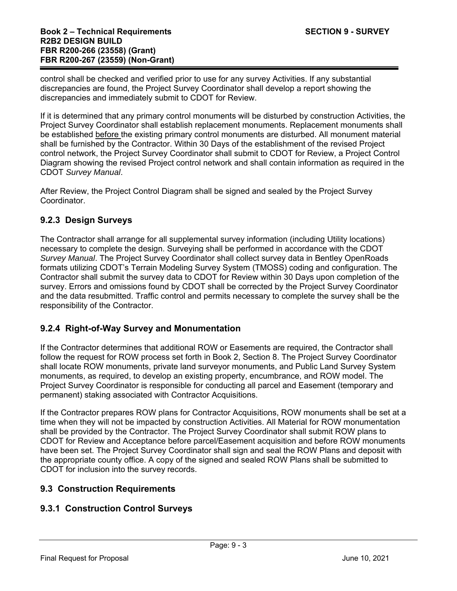control shall be checked and verified prior to use for any survey Activities. If any substantial discrepancies are found, the Project Survey Coordinator shall develop a report showing the discrepancies and immediately submit to CDOT for Review.

If it is determined that any primary control monuments will be disturbed by construction Activities, the Project Survey Coordinator shall establish replacement monuments. Replacement monuments shall be established before the existing primary control monuments are disturbed. All monument material shall be furnished by the Contractor. Within 30 Days of the establishment of the revised Project control network, the Project Survey Coordinator shall submit to CDOT for Review, a Project Control Diagram showing the revised Project control network and shall contain information as required in the CDOT *Survey Manual*.

After Review, the Project Control Diagram shall be signed and sealed by the Project Survey Coordinator.

# **9.2.3 Design Surveys**

The Contractor shall arrange for all supplemental survey information (including Utility locations) necessary to complete the design. Surveying shall be performed in accordance with the CDOT *Survey Manual*. The Project Survey Coordinator shall collect survey data in Bentley OpenRoads formats utilizing CDOT's Terrain Modeling Survey System (TMOSS) coding and configuration. The Contractor shall submit the survey data to CDOT for Review within 30 Days upon completion of the survey. Errors and omissions found by CDOT shall be corrected by the Project Survey Coordinator and the data resubmitted. Traffic control and permits necessary to complete the survey shall be the responsibility of the Contractor.

# **9.2.4 Right-of-Way Survey and Monumentation**

If the Contractor determines that additional ROW or Easements are required, the Contractor shall follow the request for ROW process set forth in Book 2, Section 8. The Project Survey Coordinator shall locate ROW monuments, private land surveyor monuments, and Public Land Survey System monuments, as required, to develop an existing property, encumbrance, and ROW model. The Project Survey Coordinator is responsible for conducting all parcel and Easement (temporary and permanent) staking associated with Contractor Acquisitions.

If the Contractor prepares ROW plans for Contractor Acquisitions, ROW monuments shall be set at a time when they will not be impacted by construction Activities. All Material for ROW monumentation shall be provided by the Contractor. The Project Survey Coordinator shall submit ROW plans to CDOT for Review and Acceptance before parcel/Easement acquisition and before ROW monuments have been set. The Project Survey Coordinator shall sign and seal the ROW Plans and deposit with the appropriate county office. A copy of the signed and sealed ROW Plans shall be submitted to CDOT for inclusion into the survey records.

# **9.3 Construction Requirements**

# **9.3.1 Construction Control Surveys**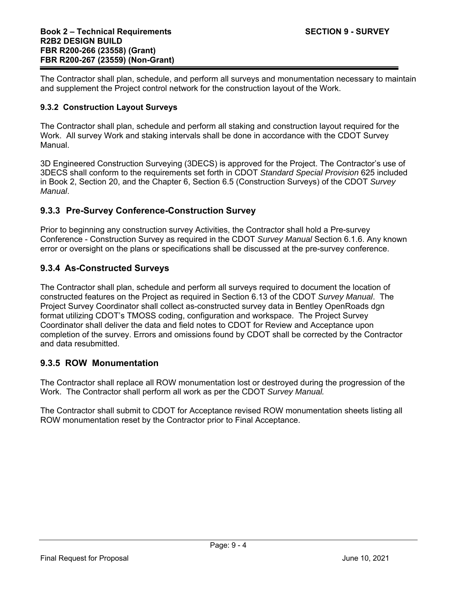The Contractor shall plan, schedule, and perform all surveys and monumentation necessary to maintain and supplement the Project control network for the construction layout of the Work.

#### **9.3.2 Construction Layout Surveys**

The Contractor shall plan, schedule and perform all staking and construction layout required for the Work. All survey Work and staking intervals shall be done in accordance with the CDOT Survey Manual.

3D Engineered Construction Surveying (3DECS) is approved for the Project. The Contractor's use of 3DECS shall conform to the requirements set forth in CDOT *Standard Special Provision* 625 included in Book 2, Section 20, and the Chapter 6, Section 6.5 (Construction Surveys) of the CDOT *Survey Manual*.

### **9.3.3 Pre-Survey Conference-Construction Survey**

Prior to beginning any construction survey Activities, the Contractor shall hold a Pre-survey Conference - Construction Survey as required in the CDOT *Survey Manual* Section 6.1.6. Any known error or oversight on the plans or specifications shall be discussed at the pre-survey conference.

### **9.3.4 As-Constructed Surveys**

The Contractor shall plan, schedule and perform all surveys required to document the location of constructed features on the Project as required in Section 6.13 of the CDOT *Survey Manual*. The Project Survey Coordinator shall collect as-constructed survey data in Bentley OpenRoads dgn format utilizing CDOT's TMOSS coding, configuration and workspace. The Project Survey Coordinator shall deliver the data and field notes to CDOT for Review and Acceptance upon completion of the survey. Errors and omissions found by CDOT shall be corrected by the Contractor and data resubmitted.

#### **9.3.5 ROW Monumentation**

The Contractor shall replace all ROW monumentation lost or destroyed during the progression of the Work. The Contractor shall perform all work as per the CDOT *Survey Manual.*

The Contractor shall submit to CDOT for Acceptance revised ROW monumentation sheets listing all ROW monumentation reset by the Contractor prior to Final Acceptance.